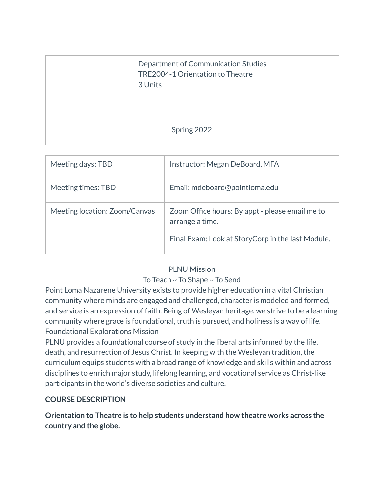|             | Department of Communication Studies<br>TRE2004-1 Orientation to Theatre<br>3 Units |  |  |  |
|-------------|------------------------------------------------------------------------------------|--|--|--|
| Spring 2022 |                                                                                    |  |  |  |

| Meeting days: TBD             | Instructor: Megan DeBoard, MFA                                     |  |
|-------------------------------|--------------------------------------------------------------------|--|
| Meeting times: TBD            | Email: mdeboard@pointloma.edu                                      |  |
| Meeting location: Zoom/Canvas | Zoom Office hours: By appt - please email me to<br>arrange a time. |  |
|                               | Final Exam: Look at StoryCorp in the last Module.                  |  |

### PLNU Mission

### To Teach ~ To Shape ~ To Send

Point Loma Nazarene University exists to provide higher education in a vital Christian community where minds are engaged and challenged, character is modeled and formed, and service is an expression of faith. Being of Wesleyan heritage, we strive to be a learning community where grace is foundational, truth is pursued, and holiness is a way of life. Foundational Explorations Mission

PLNU provides a foundational course of study in the liberal arts informed by the life, death, and resurrection of Jesus Christ. In keeping with the Wesleyan tradition, the curriculum equips students with a broad range of knowledge and skills within and across disciplines to enrich major study, lifelong learning, and vocational service as Christ-like participants in the world's diverse societies and culture.

### **COURSE DESCRIPTION**

**Orientation to Theatre is to help students understand how theatre works across the country and the globe.**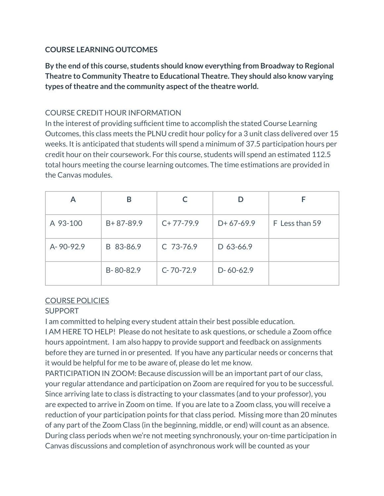## **COURSE LEARNING OUTCOMES**

**By the end ofthis course, students should know everything from Broadway to Regional Theatre to Community Theatre to Educational Theatre. They should also know varying types oftheatre and the community aspect ofthe theatre world.**

## COURSE CREDIT HOUR INFORMATION

In the interest of providing sufficient time to accomplish the stated Course Learning Outcomes, this class meets the PLNU credit hour policy for a 3 unit class delivered over 15 weeks. It is anticipated that students will spend a minimum of 37.5 participation hours per credit hour on their coursework. For this course, students will spend an estimated 112.5 total hours meeting the course learning outcomes. The time estimations are provided in the Canvas modules.

|           | В               |             |             |                |
|-----------|-----------------|-------------|-------------|----------------|
| A 93-100  | $B + 87 - 89.9$ | $C+77-79.9$ | $D+67-69.9$ | F Less than 59 |
| A-90-92.9 | B 83-86.9       | $C$ 73-76.9 | $D$ 63-66.9 |                |
|           | B-80-82.9       | $C-70-72.9$ | $D-60-62.9$ |                |

# COURSE POLICIES

### SUPPORT

I am committed to helping every student attain their best possible education.

I AM HERE TO HELP! Please do not hesitate to ask questions, or schedule a Zoom office hours appointment. I am also happy to provide support and feedback on assignments before they are turned in or presented. If you have any particular needs or concerns that it would be helpful for me to be aware of, please do let me know.

PARTICIPATION IN ZOOM: Because discussion will be an important part of our class, your regular attendance and participation on Zoom are required for you to be successful. Since arriving late to class is distracting to your classmates (and to your professor), you are expected to arrive in Zoom on time. If you are late to a Zoom class, you will receive a reduction of your participation points for that class period. Missing more than 20 minutes of any part of the Zoom Class (in the beginning, middle, or end) will count as an absence. During class periods when we're not meeting synchronously, your on-time participation in Canvas discussions and completion of asynchronous work will be counted as your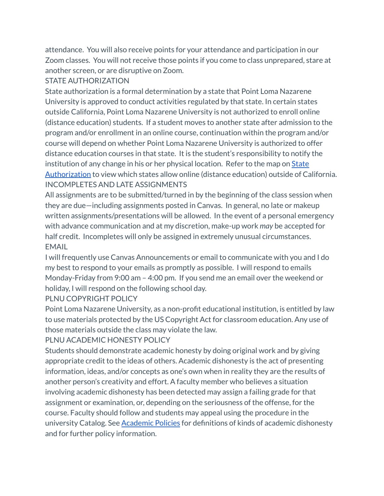attendance. You will also receive points for your attendance and participation in our Zoom classes. You will not receive those points if you come to class unprepared, stare at another screen, or are disruptive on Zoom.

#### STATE AUTHORIZATION

State authorization is a formal determination by a state that Point Loma Nazarene University is approved to conduct activities regulated by that state. In certain states outside California, Point Loma Nazarene University is not authorized to enroll online (distance education) students. If a student moves to another state after admission to the program and/or enrollment in an online course, continuation within the program and/or course will depend on whether Point Loma Nazarene University is authorized to offer distance education courses in that state. It is the student's responsibility to notify the institution of any change in his or her physical location. Refer to the map on **[State](https://www.pointloma.edu/offices/office-institutional-effectiveness-research/disclosures)** [Authorization](https://www.pointloma.edu/offices/office-institutional-effectiveness-research/disclosures) to view which states allow online (distance education) outside of California. INCOMPLETES AND LATE ASSIGNMENTS

All assignments are to be submitted/turned in by the beginning of the class session when they are due—including assignments posted in Canvas. In general, no late or makeup written assignments/presentations will be allowed. In the event of a personal emergency with advance communication and at my discretion, make-up work *may* be accepted for half credit. Incompletes will only be assigned in extremely unusual circumstances. EMAIL

I will frequently use Canvas Announcements or email to communicate with you and I do my best to respond to your emails as promptly as possible. I will respond to emails Monday-Friday from 9:00 am – 4:00 pm. If you send me an email over the weekend or holiday, I will respond on the following school day.

#### PLNU COPYRIGHT POLICY

Point Loma Nazarene University, as a non-profit educational institution, is entitled by law to use materials protected by the US Copyright Act for classroom education. Any use of those materials outside the class may violate the law.

### PLNU ACADEMIC HONESTY POLICY

Students should demonstrate academic honesty by doing original work and by giving appropriate credit to the ideas of others. Academic dishonesty is the act of presenting information, ideas, and/or concepts as one's own when in reality they are the results of another person's creativity and effort. A faculty member who believes a situation involving academic dishonesty has been detected may assign a failing grade for that assignment or examination, or, depending on the seriousness of the offense, for the course. Faculty should follow and students may appeal using the procedure in the university Catalog. See [Academic](http://catalog.pointloma.edu/content.php?catoid=18&navoid=1278) Policies for definitions of kinds of academic dishonesty and for further policy information.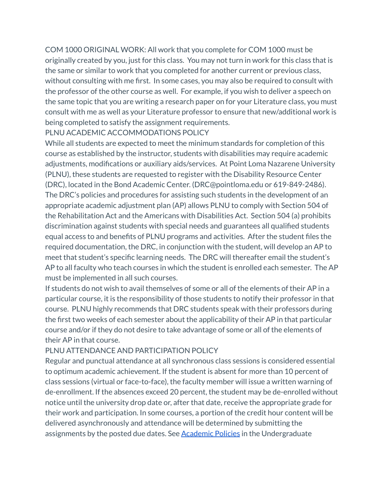COM 1000 ORIGINAL WORK: All work that you complete for COM 1000 must be originally created by you, just for this class. You may not turn in work for this class that is the same or similar to work that you completed for another current or previous class, without consulting with me first. In some cases, you may also be required to consult with the professor of the other course as well. For example, if you wish to deliver a speech on the same topic that you are writing a research paper on for your Literature class, you must consult with me as well as your Literature professor to ensure that new/additional work is being completed to satisfy the assignment requirements.

PLNU ACADEMIC ACCOMMODATIONS POLICY

While all students are expected to meet the minimum standards for completion of this course as established by the instructor, students with disabilities may require academic adjustments, modifications or auxiliary aids/services. At Point Loma Nazarene University (PLNU), these students are requested to register with the Disability Resource Center (DRC), located in the Bond Academic Center. (DRC@pointloma.edu or 619-849-2486). The DRC's policies and procedures for assisting such students in the development of an appropriate academic adjustment plan (AP) allows PLNU to comply with Section 504 of the Rehabilitation Act and the Americans with Disabilities Act. Section 504 (a) prohibits discrimination against students with special needs and guarantees all qualified students equal access to and benefits of PLNU programs and activities. After the student files the required documentation, the DRC, in conjunction with the student, will develop an AP to meet that student's specific learning needs. The DRC will thereafter email the student's AP to all faculty who teach courses in which the student is enrolled each semester. The AP must be implemented in all such courses.

If students do not wish to avail themselves of some or all of the elements of their AP in a particular course, it is the responsibility of those students to notify their professor in that course. PLNU highly recommends that DRC students speak with their professors during the first two weeks of each semester about the applicability of their AP in that particular course and/or if they do not desire to take advantage of some or all of the elements of their AP in that course.

### PLNU ATTENDANCE AND PARTICIPATION POLICY

Regular and punctual attendance at all synchronous class sessions is considered essential to optimum academic achievement. If the student is absent for more than 10 percent of class sessions (virtual or face-to-face), the faculty member will issue a written warning of de-enrollment. If the absences exceed 20 percent, the student may be de-enrolled without notice until the university drop date or, after that date, receive the appropriate grade for their work and participation. In some courses, a portion of the credit hour content will be delivered asynchronously and attendance will be determined by submitting the assignments by the posted due dates. See **[Academic](https://catalog.pointloma.edu/content.php?catoid=46&navoid=2650#Class_Attendance) Policies** in the Undergraduate